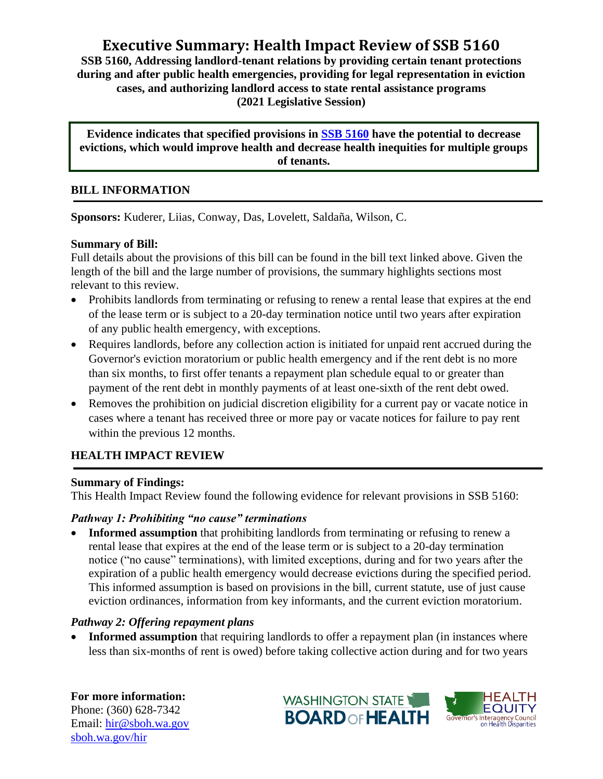# **Executive Summary: Health Impact Review of SSB 5160**

**SSB 5160, Addressing landlord-tenant relations by providing certain tenant protections during and after public health emergencies, providing for legal representation in eviction cases, and authorizing landlord access to state rental assistance programs (2021 Legislative Session)**

**Evidence indicates that specified provisions in [SSB 5160](http://lawfilesext.leg.wa.gov/biennium/2021-22/Pdf/Bills/Senate%20Bills/5160-S.pdf?q=20210301070841) have the potential to decrease evictions, which would improve health and decrease health inequities for multiple groups of tenants.**

#### **BILL INFORMATION**

**Sponsors:** Kuderer, Liias, Conway, Das, Lovelett, Saldaña, Wilson, C.

#### **Summary of Bill:**

Full details about the provisions of this bill can be found in the bill text linked above. Given the length of the bill and the large number of provisions, the summary highlights sections most relevant to this review.

- Prohibits landlords from terminating or refusing to renew a rental lease that expires at the end of the lease term or is subject to a 20-day termination notice until two years after expiration of any public health emergency, with exceptions.
- Requires landlords, before any collection action is initiated for unpaid rent accrued during the Governor's eviction moratorium or public health emergency and if the rent debt is no more than six months, to first offer tenants a repayment plan schedule equal to or greater than payment of the rent debt in monthly payments of at least one-sixth of the rent debt owed.
- Removes the prohibition on judicial discretion eligibility for a current pay or vacate notice in cases where a tenant has received three or more pay or vacate notices for failure to pay rent within the previous 12 months.

## **HEALTH IMPACT REVIEW**

#### **Summary of Findings:**

This Health Impact Review found the following evidence for relevant provisions in SSB 5160:

#### *Pathway 1: Prohibiting "no cause" terminations*

**Informed assumption** that prohibiting landlords from terminating or refusing to renew a rental lease that expires at the end of the lease term or is subject to a 20-day termination notice ("no cause" terminations), with limited exceptions, during and for two years after the expiration of a public health emergency would decrease evictions during the specified period. This informed assumption is based on provisions in the bill, current statute, use of just cause eviction ordinances, information from key informants, and the current eviction moratorium.

### *Pathway 2: Offering repayment plans*

• **Informed assumption** that requiring landlords to offer a repayment plan (in instances where less than six-months of rent is owed) before taking collective action during and for two years

**For more information:** Phone: (360) 628-7342 Email: [hir@sboh.wa.gov](mailto:hir@sboh.wa.gov) [sboh.wa.gov/](http://sboh.wa.gov/)hir

HEALTH **WASHINGTON STATE EQUITY BOARD OF HEALTH** Governor's Interagency Council<br>on Health Disparities